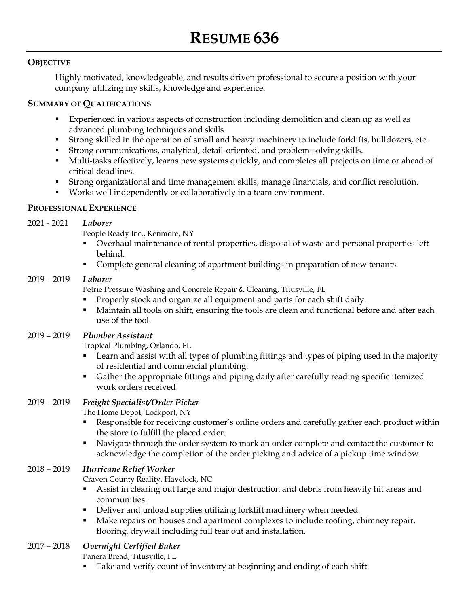#### **OBJECTIVE**

Highly motivated, knowledgeable, and results driven professional to secure a position with your company utilizing my skills, knowledge and experience.

#### **SUMMARY OF QUALIFICATIONS**

- Experienced in various aspects of construction including demolition and clean up as well as advanced plumbing techniques and skills.
- Strong skilled in the operation of small and heavy machinery to include forklifts, bulldozers, etc.
- Strong communications, analytical, detail-oriented, and problem-solving skills.
- Multi-tasks effectively, learns new systems quickly, and completes all projects on time or ahead of critical deadlines.
- Strong organizational and time management skills, manage financials, and conflict resolution.
- Works well independently or collaboratively in a team environment.

# **PROFESSIONAL EXPERIENCE**

#### 2021 - 2021 *Laborer*

People Ready Inc., Kenmore, NY

- Overhaul maintenance of rental properties, disposal of waste and personal properties left behind.
- **Complete general cleaning of apartment buildings in preparation of new tenants.**

# 2019 – 2019 *Laborer*

Petrie Pressure Washing and Concrete Repair & Cleaning, Titusville, FL

- Properly stock and organize all equipment and parts for each shift daily.
- Maintain all tools on shift, ensuring the tools are clean and functional before and after each use of the tool.

# 2019 – 2019 *Plumber Assistant*

Tropical Plumbing, Orlando, FL

- Learn and assist with all types of plumbing fittings and types of piping used in the majority of residential and commercial plumbing.
- Gather the appropriate fittings and piping daily after carefully reading specific itemized work orders received.

# 2019 – 2019 *Freight Specialist/Order Picker*

The Home Depot, Lockport, NY

- Responsible for receiving customer's online orders and carefully gather each product within the store to fulfill the placed order.
- Navigate through the order system to mark an order complete and contact the customer to acknowledge the completion of the order picking and advice of a pickup time window.

# 2018 – 2019 *Hurricane Relief Worker*

Craven County Reality, Havelock, NC

- Assist in clearing out large and major destruction and debris from heavily hit areas and communities.
- Deliver and unload supplies utilizing forklift machinery when needed.
- Make repairs on houses and apartment complexes to include roofing, chimney repair, flooring, drywall including full tear out and installation.

# 2017 – 2018 *Overnight Certified Baker*

Panera Bread, Titusville, FL

Take and verify count of inventory at beginning and ending of each shift.